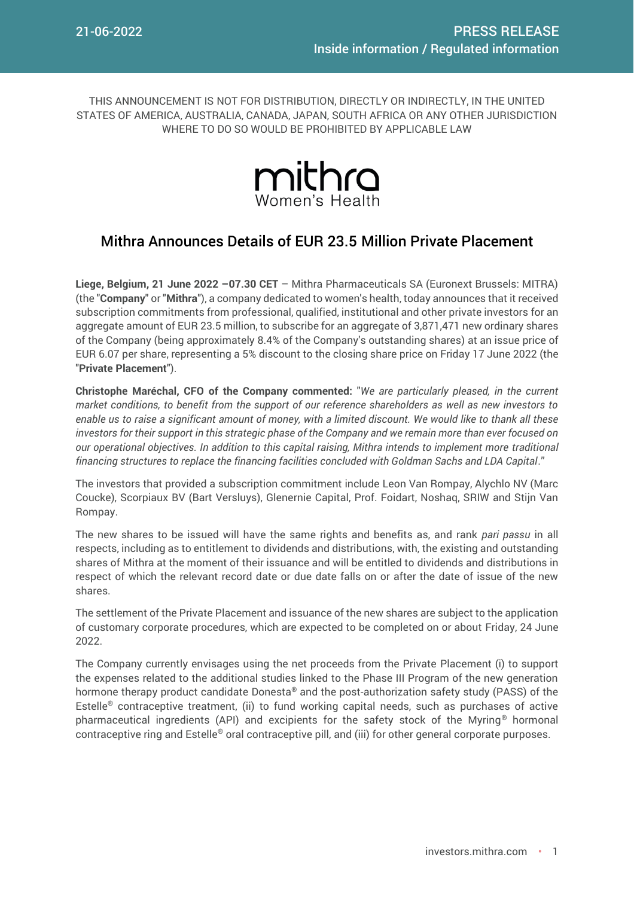THIS ANNOUNCEMENT IS NOT FOR DISTRIBUTION, DIRECTLY OR INDIRECTLY, IN THE UNITED STATES OF AMERICA, AUSTRALIA, CANADA, JAPAN, SOUTH AFRICA OR ANY OTHER JURISDICTION WHERE TO DO SO WOULD BE PROHIBITED BY APPLICABLE LAW



# Mithra Announces Details of EUR 23.5 Million Private Placement

**Liege, Belgium, 21 June 2022 –07.30 CET** – Mithra Pharmaceuticals SA (Euronext Brussels: MITRA) (the "**Company**" or "**Mithra**"), a company dedicated to women's health, today announces that it received subscription commitments from professional, qualified, institutional and other private investors for an aggregate amount of EUR 23.5 million, to subscribe for an aggregate of 3,871,471 new ordinary shares of the Company (being approximately 8.4% of the Company's outstanding shares) at an issue price of EUR 6.07 per share, representing a 5% discount to the closing share price on Friday 17 June 2022 (the "**Private Placement**").

**Christophe Maréchal, CFO of the Company commented:** "*We are particularly pleased, in the current market conditions, to benefit from the support of our reference shareholders as well as new investors to enable us to raise a significant amount of money, with a limited discount. We would like to thank all these investors for their support in this strategic phase of the Company and we remain more than ever focused on our operational objectives. In addition to this capital raising, Mithra intends to implement more traditional financing structures to replace the financing facilities concluded with Goldman Sachs and LDA Capital*."

The investors that provided a subscription commitment include Leon Van Rompay, Alychlo NV (Marc Coucke), Scorpiaux BV (Bart Versluys), Glenernie Capital, Prof. Foidart, Noshaq, SRIW and Stijn Van Rompay.

The new shares to be issued will have the same rights and benefits as, and rank *pari passu* in all respects, including as to entitlement to dividends and distributions, with, the existing and outstanding shares of Mithra at the moment of their issuance and will be entitled to dividends and distributions in respect of which the relevant record date or due date falls on or after the date of issue of the new shares.

The settlement of the Private Placement and issuance of the new shares are subject to the application of customary corporate procedures, which are expected to be completed on or about Friday, 24 June 2022.

The Company currently envisages using the net proceeds from the Private Placement (i) to support the expenses related to the additional studies linked to the Phase III Program of the new generation hormone therapy product candidate Donesta® and the post-authorization safety study (PASS) of the Estelle® contraceptive treatment, (ii) to fund working capital needs, such as purchases of active pharmaceutical ingredients (API) and excipients for the safety stock of the Myring® hormonal contraceptive ring and Estelle® oral contraceptive pill, and (iii) for other general corporate purposes.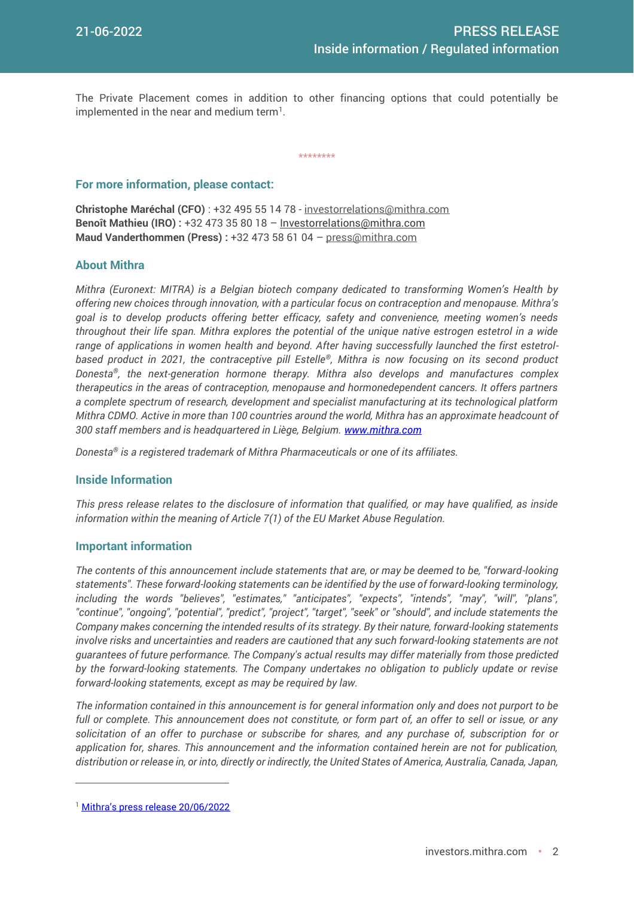The Private Placement comes in addition to other financing options that could potentially be implemented in the near and medium term $^{\rm l}$ .

\*\*\*\*\*\*\*\*

### **For more information, please contact:**

**Christophe Maréchal (CFO)** : +32 495 55 14 78 - [investorrelations@mithra.com](mailto:investorrelations@mithra.com) **Benoît Mathieu (IRO) :** +32 473 35 80 18 – [Investorrelations@mithra.com](mailto:investorrelations@mithra.com) **Maud Vanderthommen (Press) :** +32 473 58 61 04 – [press@mithra.com](mailto:press@mithra.com)

## **About Mithra**

*Mithra (Euronext: MITRA) is a Belgian biotech company dedicated to transforming Women's Health by offering new choices through innovation, with a particular focus on contraception and menopause. Mithra's goal is to develop products offering better efficacy, safety and convenience, meeting women's needs throughout their life span. Mithra explores the potential of the unique native estrogen estetrol in a wide range of applications in women health and beyond. After having successfully launched the first estetrolbased product in 2021, the contraceptive pill Estelle®, Mithra is now focusing on its second product Donesta®, the next-generation hormone therapy. Mithra also develops and manufactures complex therapeutics in the areas of contraception, menopause and hormonedependent cancers. It offers partners a complete spectrum of research, development and specialist manufacturing at its technological platform Mithra CDMO. Active in more than 100 countries around the world, Mithra has an approximate headcount of 300 staff members and is headquartered in Liège, Belgium. [www.mithra.com](http://www.mithra.com/)* 

*Donesta® is a registered trademark of Mithra Pharmaceuticals or one of its affiliates.*

## **Inside Information**

*This press release relates to the disclosure of information that qualified, or may have qualified, as inside information within the meaning of Article 7(1) of the EU Market Abuse Regulation.*

#### **Important information**

*The contents of this announcement include statements that are, or may be deemed to be, "forward-looking statements". These forward-looking statements can be identified by the use of forward-looking terminology, including the words "believes", "estimates," "anticipates", "expects", "intends", "may", "will", "plans", "continue", "ongoing", "potential", "predict", "project", "target", "seek" or "should", and include statements the Company makes concerning the intended results of its strategy. By their nature, forward-looking statements involve risks and uncertainties and readers are cautioned that any such forward-looking statements are not guarantees of future performance. The Company's actual results may differ materially from those predicted by the forward-looking statements. The Company undertakes no obligation to publicly update or revise forward-looking statements, except as may be required by law.*

*The information contained in this announcement is for general information only and does not purport to be full or complete. This announcement does not constitute, or form part of, an offer to sell or issue, or any solicitation of an offer to purchase or subscribe for shares, and any purchase of, subscription for or application for, shares. This announcement and the information contained herein are not for publication, distribution or release in, or into, directly or indirectly, the United States of America, Australia, Canada, Japan,* 

 $\overline{a}$ 

<sup>&</sup>lt;sup>1</sup> [Mithra's press release 20/06/2022](https://investors.mithra.com/en/press-releases/)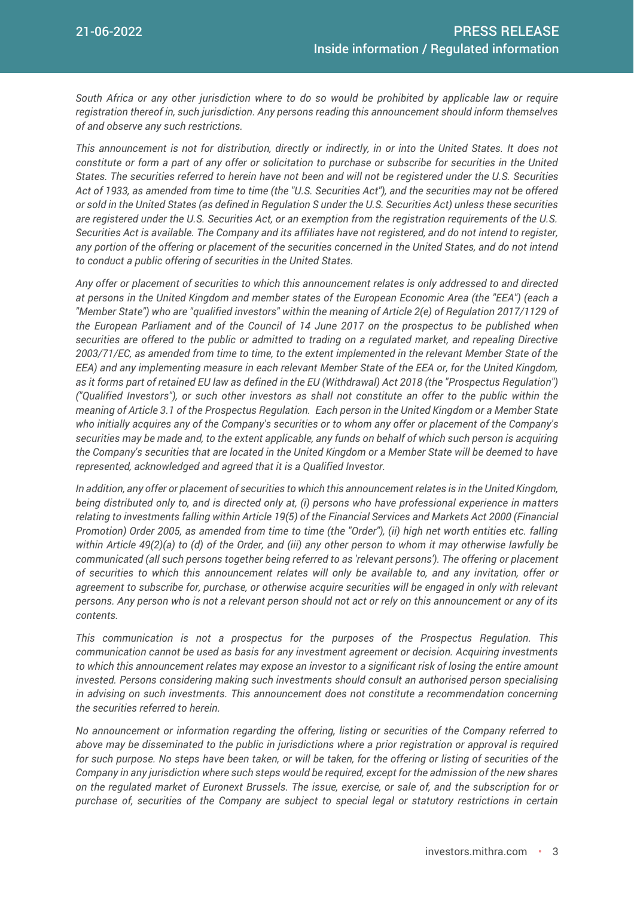*South Africa or any other jurisdiction where to do so would be prohibited by applicable law or require registration thereof in, such jurisdiction. Any persons reading this announcement should inform themselves of and observe any such restrictions.*

*This announcement is not for distribution, directly or indirectly, in or into the United States. It does not constitute or form a part of any offer or solicitation to purchase or subscribe for securities in the United States. The securities referred to herein have not been and will not be registered under the U.S. Securities Act of 1933, as amended from time to time (the "U.S. Securities Act"), and the securities may not be offered or sold in the United States (as defined in Regulation S under the U.S. Securities Act) unless these securities are registered under the U.S. Securities Act, or an exemption from the registration requirements of the U.S. Securities Act is available. The Company and its affiliates have not registered, and do not intend to register, any portion of the offering or placement of the securities concerned in the United States, and do not intend to conduct a public offering of securities in the United States.* 

*Any offer or placement of securities to which this announcement relates is only addressed to and directed at persons in the United Kingdom and member states of the European Economic Area (the "EEA") (each a "Member State") who are "qualified investors" within the meaning of Article 2(e) of Regulation 2017/1129 of the European Parliament and of the Council of 14 June 2017 on the prospectus to be published when securities are offered to the public or admitted to trading on a regulated market, and repealing Directive 2003/71/EC, as amended from time to time, to the extent implemented in the relevant Member State of the EEA) and any implementing measure in each relevant Member State of the EEA or, for the United Kingdom,*  as it forms part of retained EU law as defined in the EU (Withdrawal) Act 2018 (the "Prospectus Regulation") *("Qualified Investors"), or such other investors as shall not constitute an offer to the public within the meaning of Article 3.1 of the Prospectus Regulation. Each person in the United Kingdom or a Member State who initially acquires any of the Company's securities or to whom any offer or placement of the Company's securities may be made and, to the extent applicable, any funds on behalf of which such person is acquiring the Company's securities that are located in the United Kingdom or a Member State will be deemed to have represented, acknowledged and agreed that it is a Qualified Investor.*

*In addition, any offer or placement of securities to which this announcement relates is in the United Kingdom, being distributed only to, and is directed only at, (i) persons who have professional experience in matters relating to investments falling within Article 19(5) of the Financial Services and Markets Act 2000 (Financial Promotion) Order 2005, as amended from time to time (the "Order"), (ii) high net worth entities etc. falling within Article 49(2)(a) to (d) of the Order, and (iii) any other person to whom it may otherwise lawfully be communicated (all such persons together being referred to as 'relevant persons'). The offering or placement of securities to which this announcement relates will only be available to, and any invitation, offer or agreement to subscribe for, purchase, or otherwise acquire securities will be engaged in only with relevant persons. Any person who is not a relevant person should not act or rely on this announcement or any of its contents.*

*This communication is not a prospectus for the purposes of the Prospectus Regulation. This communication cannot be used as basis for any investment agreement or decision. Acquiring investments to which this announcement relates may expose an investor to a significant risk of losing the entire amount invested. Persons considering making such investments should consult an authorised person specialising in advising on such investments. This announcement does not constitute a recommendation concerning the securities referred to herein.*

*No announcement or information regarding the offering, listing or securities of the Company referred to above may be disseminated to the public in jurisdictions where a prior registration or approval is required for such purpose. No steps have been taken, or will be taken, for the offering or listing of securities of the Company in any jurisdiction where such steps would be required, except for the admission of the new shares on the regulated market of Euronext Brussels. The issue, exercise, or sale of, and the subscription for or purchase of, securities of the Company are subject to special legal or statutory restrictions in certain*